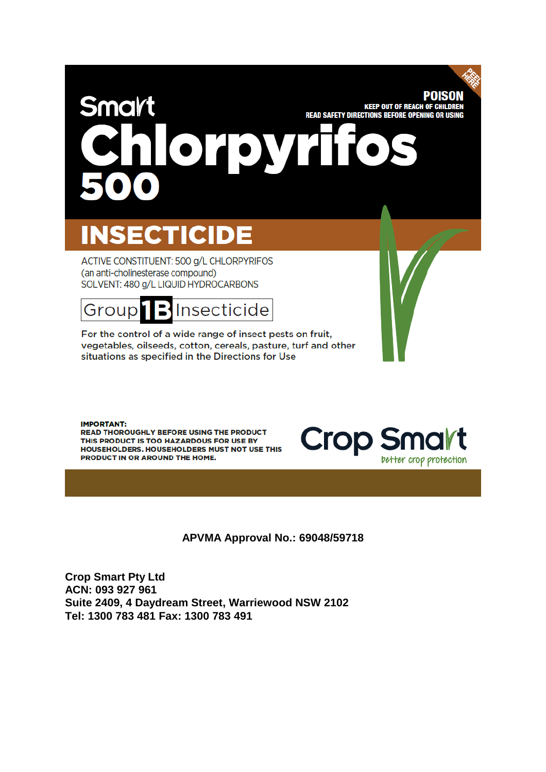# **POISON** Smart **KEEP OUT OF REACH OF CHILDREN READ SAFETY DIRECTIONS BEFORE OPENING OR USING** Or **DVF**

# **INSECTICIDE**

ACTIVE CONSTITUENT: 500 g/L CHLORPYRIFOS (an anti-cholinesterase compound) SOLVENT: 480 g/L LIQUID HYDROCARBONS



For the control of a wide range of insect pests on fruit, vegetables, oilseeds, cotton, cereals, pasture, turf and other situations as specified in the Directions for Use

**IMPORTANT:** 

READ THOROUGHLY BEFORE USING THE PRODUCT THIS PRODUCT IS TOO HAZARDOUS FOR USE BY HOUSEHOLDERS. HOUSEHOLDERS MUST NOT USE THIS PRODUCT IN OR AROUND THE HOME.



**APVMA Approval No.: 69048/59718**

**Crop Smart Pty Ltd ACN: 093 927 961 Suite 2409, 4 Daydream Street, Warriewood NSW 2102 Tel: 1300 783 481 Fax: 1300 783 491**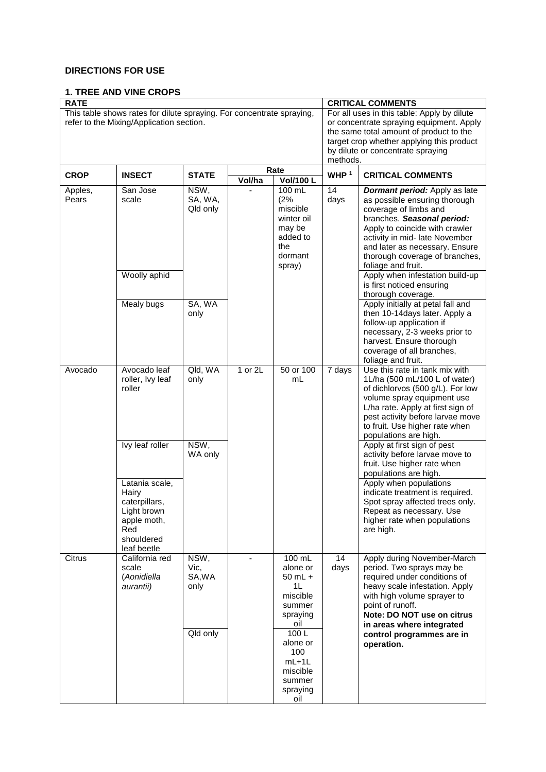# **DIRECTIONS FOR USE**

# **1. TREE AND VINE CROPS**

| <b>RATE</b>                                                                                                       |                                                                                                            | <b>CRITICAL COMMENTS</b>       |         |                                                                                           |                     |                                                                                                                                                                                                                                                                                                                                                            |  |
|-------------------------------------------------------------------------------------------------------------------|------------------------------------------------------------------------------------------------------------|--------------------------------|---------|-------------------------------------------------------------------------------------------|---------------------|------------------------------------------------------------------------------------------------------------------------------------------------------------------------------------------------------------------------------------------------------------------------------------------------------------------------------------------------------------|--|
| This table shows rates for dilute spraying. For concentrate spraying,<br>refer to the Mixing/Application section. |                                                                                                            |                                |         |                                                                                           |                     | For all uses in this table: Apply by dilute<br>or concentrate spraying equipment. Apply<br>the same total amount of product to the<br>target crop whether applying this product<br>by dilute or concentrate spraying<br>methods.                                                                                                                           |  |
| <b>CROP</b>                                                                                                       | <b>INSECT</b>                                                                                              | <b>STATE</b>                   | Vol/ha  | Rate<br>Vol/100 L                                                                         | WHP <sup>1</sup>    | <b>CRITICAL COMMENTS</b>                                                                                                                                                                                                                                                                                                                                   |  |
| Apples,<br>Pears                                                                                                  | San Jose<br>scale<br>Woolly aphid                                                                          | NSW,<br>SA, WA,<br>Qld only    |         | 100 mL<br>(2%<br>miscible<br>winter oil<br>may be<br>added to<br>the<br>dormant<br>spray) | 14<br>days          | <b>Dormant period:</b> Apply as late<br>as possible ensuring thorough<br>coverage of limbs and<br>branches. Seasonal period:<br>Apply to coincide with crawler<br>activity in mid- late November<br>and later as necessary. Ensure<br>thorough coverage of branches,<br>foliage and fruit.<br>Apply when infestation build-up<br>is first noticed ensuring |  |
|                                                                                                                   | Mealy bugs                                                                                                 | SA, WA<br>only                 |         |                                                                                           |                     | thorough coverage.<br>Apply initially at petal fall and<br>then 10-14days later. Apply a<br>follow-up application if<br>necessary, 2-3 weeks prior to<br>harvest. Ensure thorough<br>coverage of all branches,<br>foliage and fruit.                                                                                                                       |  |
| Avocado                                                                                                           | Avocado leaf<br>roller, Ivy leaf<br>roller                                                                 | QId, WA<br>only                | 1 or 2L | 50 or 100<br>mL                                                                           | $\overline{7}$ days | Use this rate in tank mix with<br>1L/ha (500 mL/100 L of water)<br>of dichlorvos (500 g/L). For low<br>volume spray equipment use<br>L/ha rate. Apply at first sign of<br>pest activity before larvae move<br>to fruit. Use higher rate when<br>populations are high.                                                                                      |  |
|                                                                                                                   | Ivy leaf roller                                                                                            | NSW,<br>WA only                |         |                                                                                           |                     | Apply at first sign of pest<br>activity before larvae move to<br>fruit. Use higher rate when<br>populations are high.                                                                                                                                                                                                                                      |  |
|                                                                                                                   | Latania scale,<br>Hairy<br>caterpillars,<br>Light brown<br>apple moth,<br>Red<br>shouldered<br>leaf beetle |                                |         |                                                                                           |                     | Apply when populations<br>indicate treatment is required.<br>Spot spray affected trees only.<br>Repeat as necessary. Use<br>higher rate when populations<br>are high.                                                                                                                                                                                      |  |
| Citrus                                                                                                            | California red<br>scale<br>(Aonidiella<br>aurantii)                                                        | NSW,<br>Vic,<br>SA, WA<br>only |         | 100 mL<br>alone or<br>$50$ mL $+$<br>1L<br>miscible<br>summer<br>spraying<br>oil          | 14<br>days          | Apply during November-March<br>period. Two sprays may be<br>required under conditions of<br>heavy scale infestation. Apply<br>with high volume sprayer to<br>point of runoff.<br>Note: DO NOT use on citrus<br>in areas where integrated                                                                                                                   |  |
|                                                                                                                   |                                                                                                            | Qld only                       |         | 100L<br>alone or<br>100<br>$mL+1L$<br>miscible<br>summer<br>spraying<br>oil               |                     | control programmes are in<br>operation.                                                                                                                                                                                                                                                                                                                    |  |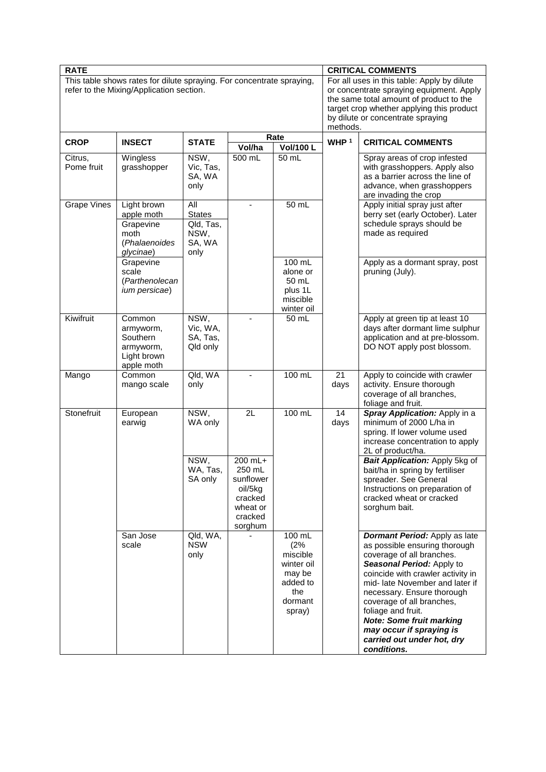| <b>RATE</b>                                                                                                       |                                                                              | <b>CRITICAL COMMENTS</b>                                    |                                                                                          |                                                                                             |                  |                                                                                                                                                                                                                                                                                                                                                                                                      |  |
|-------------------------------------------------------------------------------------------------------------------|------------------------------------------------------------------------------|-------------------------------------------------------------|------------------------------------------------------------------------------------------|---------------------------------------------------------------------------------------------|------------------|------------------------------------------------------------------------------------------------------------------------------------------------------------------------------------------------------------------------------------------------------------------------------------------------------------------------------------------------------------------------------------------------------|--|
| This table shows rates for dilute spraying. For concentrate spraying,<br>refer to the Mixing/Application section. |                                                                              |                                                             |                                                                                          |                                                                                             |                  | For all uses in this table: Apply by dilute<br>or concentrate spraying equipment. Apply<br>the same total amount of product to the<br>target crop whether applying this product<br>by dilute or concentrate spraying<br>methods.                                                                                                                                                                     |  |
| <b>CROP</b>                                                                                                       | <b>INSECT</b>                                                                | <b>STATE</b>                                                | Vol/ha                                                                                   | Rate<br>Vol/100 L                                                                           | WHP <sup>1</sup> | <b>CRITICAL COMMENTS</b>                                                                                                                                                                                                                                                                                                                                                                             |  |
| Citrus,<br>Pome fruit                                                                                             | Wingless<br>grasshopper                                                      | NSW,<br>Vic, Tas,<br>SA, WA<br>only                         | 500 mL                                                                                   | 50 mL                                                                                       |                  | Spray areas of crop infested<br>with grasshoppers. Apply also<br>as a barrier across the line of<br>advance, when grasshoppers<br>are invading the crop                                                                                                                                                                                                                                              |  |
| <b>Grape Vines</b>                                                                                                | Light brown<br>apple moth<br>Grapevine<br>moth<br>(Phalaenoides<br>glycinae) | All<br><b>States</b><br>Qld, Tas,<br>NSW,<br>SA, WA<br>only | ä,                                                                                       | 50 mL                                                                                       |                  | Apply initial spray just after<br>berry set (early October). Later<br>schedule sprays should be<br>made as required                                                                                                                                                                                                                                                                                  |  |
|                                                                                                                   | Grapevine<br>scale<br>(Parthenolecan<br>ium persicae)                        |                                                             |                                                                                          | 100 mL<br>alone or<br>50 mL<br>plus 1L<br>miscible<br>winter oil                            |                  | Apply as a dormant spray, post<br>pruning (July).                                                                                                                                                                                                                                                                                                                                                    |  |
| Kiwifruit                                                                                                         | Common<br>armyworm,<br>Southern<br>armyworm,<br>Light brown<br>apple moth    | NSW,<br>Vic, WA,<br>SA, Tas,<br>Qld only                    | $\blacksquare$                                                                           | 50 mL                                                                                       |                  | Apply at green tip at least 10<br>days after dormant lime sulphur<br>application and at pre-blossom.<br>DO NOT apply post blossom.                                                                                                                                                                                                                                                                   |  |
| Mango                                                                                                             | Common<br>mango scale                                                        | Qld, WA<br>only                                             | $\blacksquare$                                                                           | $100$ mL                                                                                    | 21<br>days       | Apply to coincide with crawler<br>activity. Ensure thorough<br>coverage of all branches,<br>foliage and fruit.                                                                                                                                                                                                                                                                                       |  |
| Stonefruit                                                                                                        | European<br>earwig                                                           | NSW,<br>WA only                                             | 2L                                                                                       | 100 mL                                                                                      | 14<br>days       | Spray Application: Apply in a<br>minimum of 2000 L/ha in<br>spring. If lower volume used<br>increase concentration to apply<br>2L of product/ha.                                                                                                                                                                                                                                                     |  |
|                                                                                                                   |                                                                              | NSW,<br>WA, Tas,<br>SA only                                 | $200$ mL+<br>250 mL<br>sunflower<br>oil/5kg<br>cracked<br>wheat or<br>cracked<br>sorghum |                                                                                             |                  | Bait Application: Apply 5kg of<br>bait/ha in spring by fertiliser<br>spreader. See General<br>Instructions on preparation of<br>cracked wheat or cracked<br>sorghum bait.                                                                                                                                                                                                                            |  |
|                                                                                                                   | San Jose<br>scale                                                            | Qld, WA,<br><b>NSW</b><br>only                              |                                                                                          | $100$ mL<br>(2%<br>miscible<br>winter oil<br>may be<br>added to<br>the<br>dormant<br>spray) |                  | <b>Dormant Period:</b> Apply as late<br>as possible ensuring thorough<br>coverage of all branches.<br>Seasonal Period: Apply to<br>coincide with crawler activity in<br>mid- late November and later if<br>necessary. Ensure thorough<br>coverage of all branches,<br>foliage and fruit.<br><b>Note: Some fruit marking</b><br>may occur if spraying is<br>carried out under hot, dry<br>conditions. |  |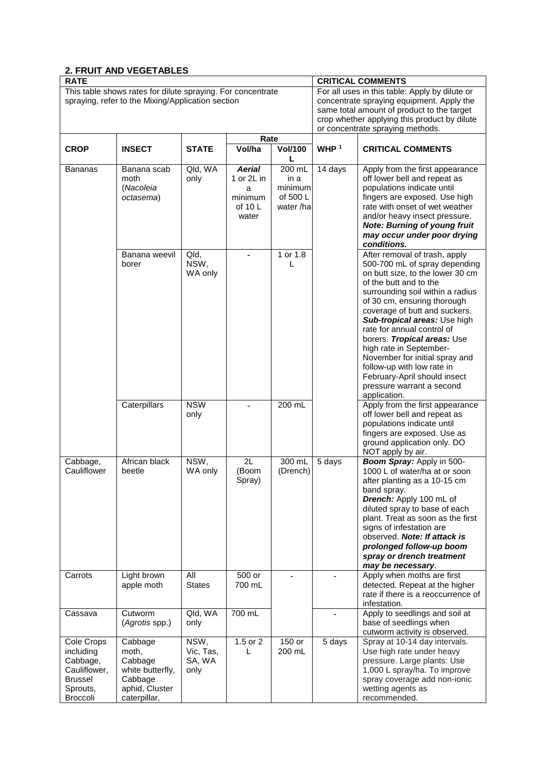# **2. FRUIT AND VEGETABLES**

| <b>RATE</b>                                                                                                      |                                                                                              |                                     | <b>CRITICAL COMMENTS</b>                                        |                                                    |                  |                                                                                                                                                                                                                                                                                                                                                                                                                                                                                                       |  |
|------------------------------------------------------------------------------------------------------------------|----------------------------------------------------------------------------------------------|-------------------------------------|-----------------------------------------------------------------|----------------------------------------------------|------------------|-------------------------------------------------------------------------------------------------------------------------------------------------------------------------------------------------------------------------------------------------------------------------------------------------------------------------------------------------------------------------------------------------------------------------------------------------------------------------------------------------------|--|
| This table shows rates for dilute spraying. For concentrate<br>spraying, refer to the Mixing/Application section |                                                                                              |                                     |                                                                 |                                                    |                  | For all uses in this table: Apply by dilute or<br>concentrate spraying equipment. Apply the<br>same total amount of product to the target<br>crop whether applying this product by dilute<br>or concentrate spraying methods.                                                                                                                                                                                                                                                                         |  |
|                                                                                                                  |                                                                                              |                                     | Rate                                                            |                                                    |                  |                                                                                                                                                                                                                                                                                                                                                                                                                                                                                                       |  |
| <b>CROP</b>                                                                                                      | <b>INSECT</b>                                                                                | <b>STATE</b>                        | Vol/ha                                                          | <b>Vol/100</b><br>L                                | WHP <sup>1</sup> | <b>CRITICAL COMMENTS</b>                                                                                                                                                                                                                                                                                                                                                                                                                                                                              |  |
| Bananas                                                                                                          | Banana scab<br>moth<br>(Nacoleia<br>octasema)                                                | Qld, WA<br>only                     | <b>Aerial</b><br>1 or 2L in<br>a<br>minimum<br>of 10 L<br>water | 200 mL<br>in a<br>minimum<br>of 500 L<br>water/hal | 14 days          | Apply from the first appearance<br>off lower bell and repeat as<br>populations indicate until<br>fingers are exposed. Use high<br>rate with onset of wet weather<br>and/or heavy insect pressure.<br><b>Note: Burning of young fruit</b><br>may occur under poor drying<br>conditions.                                                                                                                                                                                                                |  |
|                                                                                                                  | Banana weevil<br>borer                                                                       | Qld,<br>NSW,<br>WA only             | $\overline{a}$                                                  | 1 or 1.8<br>L                                      |                  | After removal of trash, apply<br>500-700 mL of spray depending<br>on butt size, to the lower 30 cm<br>of the butt and to the<br>surrounding soil within a radius<br>of 30 cm, ensuring thorough<br>coverage of butt and suckers.<br>Sub-tropical areas: Use high<br>rate for annual control of<br>borers. Tropical areas: Use<br>high rate in September-<br>November for initial spray and<br>follow-up with low rate in<br>February-April should insect<br>pressure warrant a second<br>application. |  |
|                                                                                                                  | Caterpillars                                                                                 | <b>NSW</b><br>only                  |                                                                 | 200 mL                                             |                  | Apply from the first appearance<br>off lower bell and repeat as<br>populations indicate until<br>fingers are exposed. Use as<br>ground application only. DO<br>NOT apply by air.                                                                                                                                                                                                                                                                                                                      |  |
| Cabbage,<br>Cauliflower                                                                                          | African black<br>beetle                                                                      | NSW,<br>WA only                     | 2L<br>(Boom<br>Spray)                                           | 300 mL<br>(Drench)                                 | 5 days           | Boom Spray: Apply in 500-<br>1000 L of water/ha at or soon<br>after planting as a 10-15 cm<br>band spray.<br>Drench: Apply 100 mL of<br>diluted spray to base of each<br>plant. Treat as soon as the first<br>signs of infestation are<br>observed. Note: If attack is<br>prolonged follow-up boom<br>spray or drench treatment<br>may be necessary.                                                                                                                                                  |  |
| Carrots                                                                                                          | Light brown<br>apple moth                                                                    | All<br><b>States</b>                | 500 or<br>700 mL                                                |                                                    |                  | Apply when moths are first<br>detected. Repeat at the higher<br>rate if there is a reoccurrence of<br>infestation.                                                                                                                                                                                                                                                                                                                                                                                    |  |
| Cassava                                                                                                          | Cutworm<br>(Agrotis spp.)                                                                    | Qld, WA<br>only                     | 700 mL                                                          |                                                    |                  | Apply to seedlings and soil at<br>base of seedlings when<br>cutworm activity is observed.                                                                                                                                                                                                                                                                                                                                                                                                             |  |
| Cole Crops<br>including<br>Cabbage,<br>Cauliflower,<br><b>Brussel</b><br>Sprouts,<br><b>Broccoli</b>             | Cabbage<br>moth,<br>Cabbage<br>white butterfly,<br>Cabbage<br>aphid, Cluster<br>caterpillar, | NSW,<br>Vic, Tas,<br>SA, WA<br>only | 1.5 or 2<br>L                                                   | 150 or<br>200 mL                                   | 5 days           | Spray at 10-14 day intervals.<br>Use high rate under heavy<br>pressure. Large plants: Use<br>1,000 L spray/ha. To improve<br>spray coverage add non-ionic<br>wetting agents as<br>recommended.                                                                                                                                                                                                                                                                                                        |  |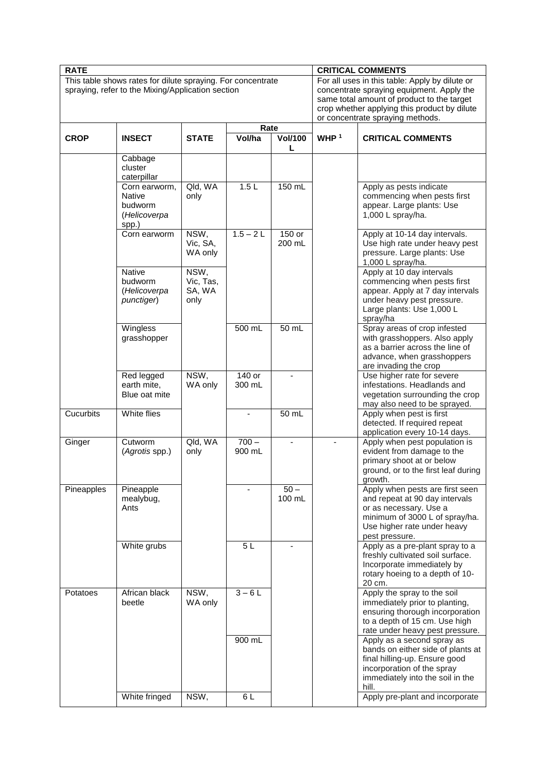| <b>RATE</b> |                                                                                                                          |                                     |                          | <b>CRITICAL COMMENTS</b>       |                  |                                                                                                                                                                                                                               |  |
|-------------|--------------------------------------------------------------------------------------------------------------------------|-------------------------------------|--------------------------|--------------------------------|------------------|-------------------------------------------------------------------------------------------------------------------------------------------------------------------------------------------------------------------------------|--|
|             | This table shows rates for dilute spraying. For concentrate<br>spraying, refer to the Mixing/Application section<br>Rate |                                     |                          |                                |                  | For all uses in this table: Apply by dilute or<br>concentrate spraying equipment. Apply the<br>same total amount of product to the target<br>crop whether applying this product by dilute<br>or concentrate spraying methods. |  |
|             |                                                                                                                          |                                     |                          |                                |                  |                                                                                                                                                                                                                               |  |
| <b>CROP</b> | <b>INSECT</b>                                                                                                            | <b>STATE</b>                        | Vol/ha                   | <b>Vol/100</b><br>$\mathbf{L}$ | WHP <sup>1</sup> | <b>CRITICAL COMMENTS</b>                                                                                                                                                                                                      |  |
|             | Cabbage<br>cluster<br>caterpillar                                                                                        |                                     |                          |                                |                  |                                                                                                                                                                                                                               |  |
|             | Corn earworm,<br>Native<br>budworm<br>(Helicoverpa<br>spp.)                                                              | Qld, WA<br>only                     | 1.5L                     | 150 mL                         |                  | Apply as pests indicate<br>commencing when pests first<br>appear. Large plants: Use<br>1,000 L spray/ha.                                                                                                                      |  |
|             | Corn earworm                                                                                                             | NSW,<br>Vic, SA,<br>WA only         | $1.5 - 2L$               | 150 or<br>200 mL               |                  | Apply at 10-14 day intervals.<br>Use high rate under heavy pest<br>pressure. Large plants: Use<br>1,000 L spray/ha.                                                                                                           |  |
|             | <b>Native</b><br>budworm<br>(Helicoverpa<br>punctiger)                                                                   | NSW,<br>Vic, Tas,<br>SA, WA<br>only |                          |                                |                  | Apply at 10 day intervals<br>commencing when pests first<br>appear. Apply at 7 day intervals<br>under heavy pest pressure.<br>Large plants: Use 1,000 L<br>spray/ha                                                           |  |
|             | Wingless<br>grasshopper                                                                                                  |                                     | 500 mL                   | $50$ mL                        |                  | Spray areas of crop infested<br>with grasshoppers. Also apply<br>as a barrier across the line of<br>advance, when grasshoppers<br>are invading the crop                                                                       |  |
|             | Red legged<br>earth mite,<br>Blue oat mite                                                                               | NSW,<br>WA only                     | 140 or<br>300 mL         | $\blacksquare$                 |                  | Use higher rate for severe<br>infestations. Headlands and<br>vegetation surrounding the crop<br>may also need to be sprayed.                                                                                                  |  |
| Cucurbits   | White flies                                                                                                              |                                     | $\overline{\phantom{a}}$ | 50 mL                          |                  | Apply when pest is first<br>detected. If required repeat<br>application every 10-14 days.                                                                                                                                     |  |
| Ginger      | Cutworm<br>(Agrotis spp.)                                                                                                | Qld, WA<br>only                     | $700 -$<br>900 mL        | $\overline{\phantom{a}}$       |                  | Apply when pest population is<br>evident from damage to the<br>primary shoot at or below<br>ground, or to the first leaf during<br>growth.                                                                                    |  |
| Pineapples  | Pineapple<br>mealybug,<br>Ants                                                                                           |                                     |                          | $\overline{50}$ –<br>100 mL    |                  | Apply when pests are first seen<br>and repeat at 90 day intervals<br>or as necessary. Use a<br>minimum of 3000 L of spray/ha.<br>Use higher rate under heavy<br>pest pressure.                                                |  |
|             | White grubs                                                                                                              |                                     | 5L                       |                                |                  | Apply as a pre-plant spray to a<br>freshly cultivated soil surface.<br>Incorporate immediately by<br>rotary hoeing to a depth of 10-<br>20 cm.                                                                                |  |
| Potatoes    | African black<br>beetle                                                                                                  | NSW,<br>WA only                     | $3-6L$                   |                                |                  | Apply the spray to the soil<br>immediately prior to planting,<br>ensuring thorough incorporation<br>to a depth of 15 cm. Use high<br>rate under heavy pest pressure.                                                          |  |
|             |                                                                                                                          |                                     | 900 mL                   |                                |                  | Apply as a second spray as<br>bands on either side of plants at<br>final hilling-up. Ensure good<br>incorporation of the spray<br>immediately into the soil in the<br>hill.                                                   |  |
|             | White fringed                                                                                                            | NSW,                                | 6L                       |                                |                  | Apply pre-plant and incorporate                                                                                                                                                                                               |  |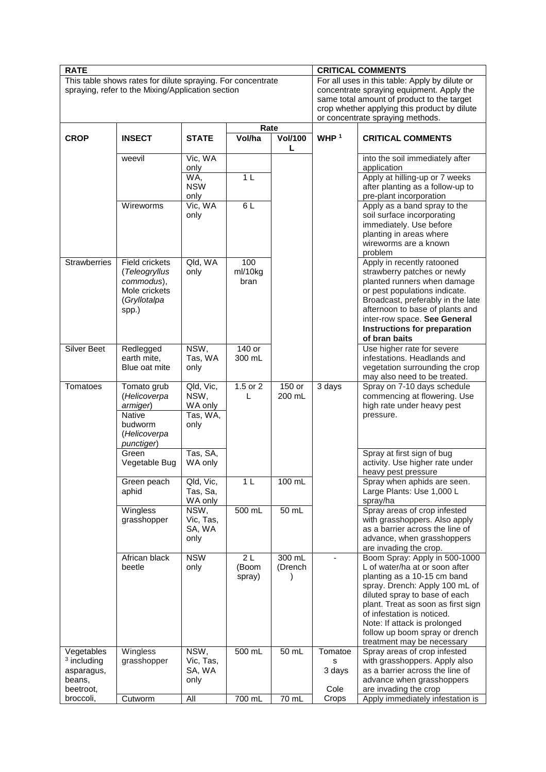| This table shows rates for dilute spraying. For concentrate<br>For all uses in this table: Apply by dilute or<br>spraying, refer to the Mixing/Application section<br>concentrate spraying equipment. Apply the<br>same total amount of product to the target<br>crop whether applying this product by dilute<br>or concentrate spraying methods.<br>Rate<br>WHP <sup>1</sup><br>Vol/ha<br><b>CROP</b><br><b>INSECT</b><br><b>STATE</b><br><b>Vol/100</b><br><b>CRITICAL COMMENTS</b><br>L<br>Vic, WA<br>into the soil immediately after<br>weevil<br>only<br>application<br>1 <sub>L</sub><br>Apply at hilling-up or 7 weeks<br>WA,<br><b>NSW</b><br>after planting as a follow-up to<br>pre-plant incorporation<br>only<br>Vic, WA<br>6L<br>Wireworms<br>Apply as a band spray to the<br>soil surface incorporating<br>only<br>immediately. Use before<br>planting in areas where<br>wireworms are a known<br>problem<br>Qld, WA<br><b>Strawberries</b><br>100<br>Apply in recently ratooned<br>Field crickets<br>ml/10kg<br>strawberry patches or newly<br>only<br>(Teleogryllus<br>planted runners when damage<br>commodus),<br>bran<br>Mole crickets<br>or pest populations indicate.<br>Broadcast, preferably in the late<br>(Gryllotalpa<br>afternoon to base of plants and<br>spp.)<br>inter-row space. See General<br>Instructions for preparation<br>of bran baits<br>Silver Beet<br>NSW,<br>$140$ or<br>Use higher rate for severe<br>Redlegged<br>earth mite,<br>Tas, WA<br>300 mL<br>infestations. Headlands and<br>Blue oat mite<br>only<br>vegetation surrounding the crop<br>may also need to be treated.<br>150 or<br>Spray on 7-10 days schedule<br>Tomatoes<br>1.5 or 2<br>3 days<br>Tomato grub<br>Qld, Vic,<br>NSW,<br>200 mL<br>(Helicoverpa<br>L<br>commencing at flowering. Use<br>high rate under heavy pest<br>WA only<br>armiger)<br>Tas, WA,<br><b>Native</b><br>pressure.<br>budworm<br>only<br>(Helicoverpa<br>punctiger)<br>Tas, SA,<br>Green<br>Spray at first sign of bug<br>activity. Use higher rate under<br>Vegetable Bug<br>WA only<br>heavy pest pressure<br>1 <sub>L</sub><br>100 mL<br>Green peach<br>Qld, Vic,<br>Spray when aphids are seen.<br>Large Plants: Use 1,000 L<br>aphid<br>Tas, Sa,<br>WA only<br>spray/ha<br>Spray areas of crop infested<br>500 mL<br>$50$ mL<br>Wingless<br>NSW,<br>with grasshoppers. Also apply<br>grasshopper<br>Vic, Tas,<br>as a barrier across the line of<br>SA, WA<br>advance, when grasshoppers<br>only<br>are invading the crop.<br><b>NSW</b><br>300 mL<br>African black<br>2L<br>Boom Spray: Apply in 500-1000<br>beetle<br>only<br>(Boom<br>(Drench<br>L of water/ha at or soon after<br>planting as a 10-15 cm band<br>spray)<br>spray. Drench: Apply 100 mL of<br>diluted spray to base of each<br>plant. Treat as soon as first sign<br>of infestation is noticed.<br>Note: If attack is prolonged<br>follow up boom spray or drench<br>treatment may be necessary<br>NSW,<br>500 mL<br>Vegetables<br>Wingless<br>50 mL<br>Tomatoe<br>Spray areas of crop infested<br>$3$ including<br>grasshopper<br>Vic, Tas,<br>with grasshoppers. Apply also<br>s<br>as a barrier across the line of<br>SA, WA<br>3 days<br>asparagus,<br>advance when grasshoppers<br>beans,<br>only<br>Cole<br>are invading the crop<br>beetroot,<br>broccoli, | <b>RATE</b> |         |     |        |       | <b>CRITICAL COMMENTS</b> |                                  |  |  |
|-------------------------------------------------------------------------------------------------------------------------------------------------------------------------------------------------------------------------------------------------------------------------------------------------------------------------------------------------------------------------------------------------------------------------------------------------------------------------------------------------------------------------------------------------------------------------------------------------------------------------------------------------------------------------------------------------------------------------------------------------------------------------------------------------------------------------------------------------------------------------------------------------------------------------------------------------------------------------------------------------------------------------------------------------------------------------------------------------------------------------------------------------------------------------------------------------------------------------------------------------------------------------------------------------------------------------------------------------------------------------------------------------------------------------------------------------------------------------------------------------------------------------------------------------------------------------------------------------------------------------------------------------------------------------------------------------------------------------------------------------------------------------------------------------------------------------------------------------------------------------------------------------------------------------------------------------------------------------------------------------------------------------------------------------------------------------------------------------------------------------------------------------------------------------------------------------------------------------------------------------------------------------------------------------------------------------------------------------------------------------------------------------------------------------------------------------------------------------------------------------------------------------------------------------------------------------------------------------------------------------------------------------------------------------------------------------------------------------------------------------------------------------------------------------------------------------------------------------------------------------------------------------------------------------------------------------------------------------------------------------------------------------------------------------------------------------------------------------------------------------------------------------------------------------------------------------------------------------------------------------------------------------------------------------------------------------------|-------------|---------|-----|--------|-------|--------------------------|----------------------------------|--|--|
|                                                                                                                                                                                                                                                                                                                                                                                                                                                                                                                                                                                                                                                                                                                                                                                                                                                                                                                                                                                                                                                                                                                                                                                                                                                                                                                                                                                                                                                                                                                                                                                                                                                                                                                                                                                                                                                                                                                                                                                                                                                                                                                                                                                                                                                                                                                                                                                                                                                                                                                                                                                                                                                                                                                                                                                                                                                                                                                                                                                                                                                                                                                                                                                                                                                                                                                               |             |         |     |        |       |                          |                                  |  |  |
|                                                                                                                                                                                                                                                                                                                                                                                                                                                                                                                                                                                                                                                                                                                                                                                                                                                                                                                                                                                                                                                                                                                                                                                                                                                                                                                                                                                                                                                                                                                                                                                                                                                                                                                                                                                                                                                                                                                                                                                                                                                                                                                                                                                                                                                                                                                                                                                                                                                                                                                                                                                                                                                                                                                                                                                                                                                                                                                                                                                                                                                                                                                                                                                                                                                                                                                               |             |         |     |        |       |                          |                                  |  |  |
|                                                                                                                                                                                                                                                                                                                                                                                                                                                                                                                                                                                                                                                                                                                                                                                                                                                                                                                                                                                                                                                                                                                                                                                                                                                                                                                                                                                                                                                                                                                                                                                                                                                                                                                                                                                                                                                                                                                                                                                                                                                                                                                                                                                                                                                                                                                                                                                                                                                                                                                                                                                                                                                                                                                                                                                                                                                                                                                                                                                                                                                                                                                                                                                                                                                                                                                               |             |         |     |        |       |                          |                                  |  |  |
|                                                                                                                                                                                                                                                                                                                                                                                                                                                                                                                                                                                                                                                                                                                                                                                                                                                                                                                                                                                                                                                                                                                                                                                                                                                                                                                                                                                                                                                                                                                                                                                                                                                                                                                                                                                                                                                                                                                                                                                                                                                                                                                                                                                                                                                                                                                                                                                                                                                                                                                                                                                                                                                                                                                                                                                                                                                                                                                                                                                                                                                                                                                                                                                                                                                                                                                               |             |         |     |        |       |                          |                                  |  |  |
|                                                                                                                                                                                                                                                                                                                                                                                                                                                                                                                                                                                                                                                                                                                                                                                                                                                                                                                                                                                                                                                                                                                                                                                                                                                                                                                                                                                                                                                                                                                                                                                                                                                                                                                                                                                                                                                                                                                                                                                                                                                                                                                                                                                                                                                                                                                                                                                                                                                                                                                                                                                                                                                                                                                                                                                                                                                                                                                                                                                                                                                                                                                                                                                                                                                                                                                               |             |         |     |        |       |                          |                                  |  |  |
|                                                                                                                                                                                                                                                                                                                                                                                                                                                                                                                                                                                                                                                                                                                                                                                                                                                                                                                                                                                                                                                                                                                                                                                                                                                                                                                                                                                                                                                                                                                                                                                                                                                                                                                                                                                                                                                                                                                                                                                                                                                                                                                                                                                                                                                                                                                                                                                                                                                                                                                                                                                                                                                                                                                                                                                                                                                                                                                                                                                                                                                                                                                                                                                                                                                                                                                               |             |         |     |        |       |                          |                                  |  |  |
|                                                                                                                                                                                                                                                                                                                                                                                                                                                                                                                                                                                                                                                                                                                                                                                                                                                                                                                                                                                                                                                                                                                                                                                                                                                                                                                                                                                                                                                                                                                                                                                                                                                                                                                                                                                                                                                                                                                                                                                                                                                                                                                                                                                                                                                                                                                                                                                                                                                                                                                                                                                                                                                                                                                                                                                                                                                                                                                                                                                                                                                                                                                                                                                                                                                                                                                               |             |         |     |        |       |                          |                                  |  |  |
|                                                                                                                                                                                                                                                                                                                                                                                                                                                                                                                                                                                                                                                                                                                                                                                                                                                                                                                                                                                                                                                                                                                                                                                                                                                                                                                                                                                                                                                                                                                                                                                                                                                                                                                                                                                                                                                                                                                                                                                                                                                                                                                                                                                                                                                                                                                                                                                                                                                                                                                                                                                                                                                                                                                                                                                                                                                                                                                                                                                                                                                                                                                                                                                                                                                                                                                               |             |         |     |        |       |                          |                                  |  |  |
|                                                                                                                                                                                                                                                                                                                                                                                                                                                                                                                                                                                                                                                                                                                                                                                                                                                                                                                                                                                                                                                                                                                                                                                                                                                                                                                                                                                                                                                                                                                                                                                                                                                                                                                                                                                                                                                                                                                                                                                                                                                                                                                                                                                                                                                                                                                                                                                                                                                                                                                                                                                                                                                                                                                                                                                                                                                                                                                                                                                                                                                                                                                                                                                                                                                                                                                               |             |         |     |        |       |                          |                                  |  |  |
|                                                                                                                                                                                                                                                                                                                                                                                                                                                                                                                                                                                                                                                                                                                                                                                                                                                                                                                                                                                                                                                                                                                                                                                                                                                                                                                                                                                                                                                                                                                                                                                                                                                                                                                                                                                                                                                                                                                                                                                                                                                                                                                                                                                                                                                                                                                                                                                                                                                                                                                                                                                                                                                                                                                                                                                                                                                                                                                                                                                                                                                                                                                                                                                                                                                                                                                               |             |         |     |        |       |                          |                                  |  |  |
|                                                                                                                                                                                                                                                                                                                                                                                                                                                                                                                                                                                                                                                                                                                                                                                                                                                                                                                                                                                                                                                                                                                                                                                                                                                                                                                                                                                                                                                                                                                                                                                                                                                                                                                                                                                                                                                                                                                                                                                                                                                                                                                                                                                                                                                                                                                                                                                                                                                                                                                                                                                                                                                                                                                                                                                                                                                                                                                                                                                                                                                                                                                                                                                                                                                                                                                               |             |         |     |        |       |                          |                                  |  |  |
|                                                                                                                                                                                                                                                                                                                                                                                                                                                                                                                                                                                                                                                                                                                                                                                                                                                                                                                                                                                                                                                                                                                                                                                                                                                                                                                                                                                                                                                                                                                                                                                                                                                                                                                                                                                                                                                                                                                                                                                                                                                                                                                                                                                                                                                                                                                                                                                                                                                                                                                                                                                                                                                                                                                                                                                                                                                                                                                                                                                                                                                                                                                                                                                                                                                                                                                               |             |         |     |        |       |                          |                                  |  |  |
|                                                                                                                                                                                                                                                                                                                                                                                                                                                                                                                                                                                                                                                                                                                                                                                                                                                                                                                                                                                                                                                                                                                                                                                                                                                                                                                                                                                                                                                                                                                                                                                                                                                                                                                                                                                                                                                                                                                                                                                                                                                                                                                                                                                                                                                                                                                                                                                                                                                                                                                                                                                                                                                                                                                                                                                                                                                                                                                                                                                                                                                                                                                                                                                                                                                                                                                               |             |         |     |        |       |                          |                                  |  |  |
|                                                                                                                                                                                                                                                                                                                                                                                                                                                                                                                                                                                                                                                                                                                                                                                                                                                                                                                                                                                                                                                                                                                                                                                                                                                                                                                                                                                                                                                                                                                                                                                                                                                                                                                                                                                                                                                                                                                                                                                                                                                                                                                                                                                                                                                                                                                                                                                                                                                                                                                                                                                                                                                                                                                                                                                                                                                                                                                                                                                                                                                                                                                                                                                                                                                                                                                               |             |         |     |        |       |                          |                                  |  |  |
|                                                                                                                                                                                                                                                                                                                                                                                                                                                                                                                                                                                                                                                                                                                                                                                                                                                                                                                                                                                                                                                                                                                                                                                                                                                                                                                                                                                                                                                                                                                                                                                                                                                                                                                                                                                                                                                                                                                                                                                                                                                                                                                                                                                                                                                                                                                                                                                                                                                                                                                                                                                                                                                                                                                                                                                                                                                                                                                                                                                                                                                                                                                                                                                                                                                                                                                               |             |         |     |        |       |                          |                                  |  |  |
|                                                                                                                                                                                                                                                                                                                                                                                                                                                                                                                                                                                                                                                                                                                                                                                                                                                                                                                                                                                                                                                                                                                                                                                                                                                                                                                                                                                                                                                                                                                                                                                                                                                                                                                                                                                                                                                                                                                                                                                                                                                                                                                                                                                                                                                                                                                                                                                                                                                                                                                                                                                                                                                                                                                                                                                                                                                                                                                                                                                                                                                                                                                                                                                                                                                                                                                               |             |         |     |        |       |                          |                                  |  |  |
|                                                                                                                                                                                                                                                                                                                                                                                                                                                                                                                                                                                                                                                                                                                                                                                                                                                                                                                                                                                                                                                                                                                                                                                                                                                                                                                                                                                                                                                                                                                                                                                                                                                                                                                                                                                                                                                                                                                                                                                                                                                                                                                                                                                                                                                                                                                                                                                                                                                                                                                                                                                                                                                                                                                                                                                                                                                                                                                                                                                                                                                                                                                                                                                                                                                                                                                               |             | Cutworm | All | 700 mL | 70 mL | Crops                    | Apply immediately infestation is |  |  |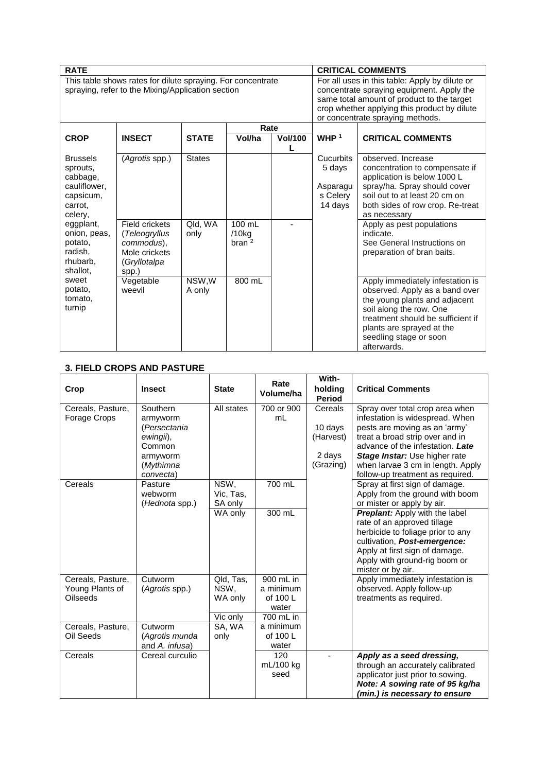| <b>RATE</b>                                       |                                                             |                 |                    |                | <b>CRITICAL COMMENTS</b> |                                                                    |  |
|---------------------------------------------------|-------------------------------------------------------------|-----------------|--------------------|----------------|--------------------------|--------------------------------------------------------------------|--|
|                                                   | This table shows rates for dilute spraying. For concentrate |                 |                    |                |                          | For all uses in this table: Apply by dilute or                     |  |
| spraying, refer to the Mixing/Application section |                                                             |                 |                    |                |                          | concentrate spraying equipment. Apply the                          |  |
|                                                   |                                                             |                 |                    |                |                          | same total amount of product to the target                         |  |
|                                                   |                                                             |                 |                    |                |                          | crop whether applying this product by dilute                       |  |
|                                                   |                                                             |                 |                    |                |                          | or concentrate spraying methods.                                   |  |
|                                                   |                                                             |                 | Rate               |                |                          |                                                                    |  |
| <b>CROP</b>                                       | <b>INSECT</b>                                               | <b>STATE</b>    | Vol/ha             | <b>Vol/100</b> | WHP $1$                  | <b>CRITICAL COMMENTS</b>                                           |  |
|                                                   |                                                             |                 |                    | L              |                          |                                                                    |  |
| <b>Brussels</b>                                   | (Agrotis spp.)                                              | <b>States</b>   |                    |                | Cucurbits                | observed. Increase                                                 |  |
| sprouts,                                          |                                                             |                 |                    |                | 5 days                   | concentration to compensate if                                     |  |
| cabbage,                                          |                                                             |                 |                    |                |                          | application is below 1000 L                                        |  |
| cauliflower,                                      |                                                             |                 |                    |                | Asparagu                 | spray/ha. Spray should cover                                       |  |
| capsicum,                                         |                                                             |                 |                    |                | s Celery                 | soil out to at least 20 cm on                                      |  |
| carrot.                                           |                                                             |                 |                    |                | 14 days                  | both sides of row crop. Re-treat                                   |  |
| celery,                                           |                                                             |                 |                    |                |                          | as necessary                                                       |  |
| eggplant,                                         | Field crickets                                              | Qld, WA         | 100 mL             |                |                          | Apply as pest populations                                          |  |
| onion, peas,                                      | (Teleogryllus                                               | only            | $/10$ kg           |                |                          | indicate.                                                          |  |
| potato.                                           | commodus),                                                  |                 | brane <sup>2</sup> |                |                          | See General Instructions on                                        |  |
| radish,                                           | Mole crickets                                               |                 |                    |                |                          | preparation of bran baits.                                         |  |
| rhubarb,                                          | (Gryllotalpa                                                |                 |                    |                |                          |                                                                    |  |
| shallot,<br>sweet                                 | spp.)                                                       |                 | 800 mL             |                |                          |                                                                    |  |
| potato,                                           | Vegetable<br>weevil                                         | NSW,W<br>A only |                    |                |                          | Apply immediately infestation is<br>observed. Apply as a band over |  |
| tomato,                                           |                                                             |                 |                    |                |                          | the young plants and adjacent                                      |  |
| turnip                                            |                                                             |                 |                    |                |                          | soil along the row. One                                            |  |
|                                                   |                                                             |                 |                    |                |                          | treatment should be sufficient if                                  |  |
|                                                   |                                                             |                 |                    |                |                          | plants are sprayed at the                                          |  |
|                                                   |                                                             |                 |                    |                |                          | seedling stage or soon                                             |  |
|                                                   |                                                             |                 |                    |                |                          | afterwards.                                                        |  |

# **3. FIELD CROPS AND PASTURE**

| Crop                                                    | <b>Insect</b>                                                                                     | <b>State</b>                             | Rate<br>Volume/ha                                        | With-<br>holding<br>Period                             | <b>Critical Comments</b>                                                                                                                                                                                                                                                             |
|---------------------------------------------------------|---------------------------------------------------------------------------------------------------|------------------------------------------|----------------------------------------------------------|--------------------------------------------------------|--------------------------------------------------------------------------------------------------------------------------------------------------------------------------------------------------------------------------------------------------------------------------------------|
| Cereals, Pasture,<br>Forage Crops                       | Southern<br>armyworm<br>(Persectania<br>ewingii),<br>Common<br>armyworm<br>(Mythimna<br>convecta) | All states                               | 700 or 900<br>mL                                         | Cereals<br>10 days<br>(Harvest)<br>2 days<br>(Grazing) | Spray over total crop area when<br>infestation is widespread. When<br>pests are moving as an 'army'<br>treat a broad strip over and in<br>advance of the infestation. Late<br>Stage Instar: Use higher rate<br>when larvae 3 cm in length. Apply<br>follow-up treatment as required. |
| Cereals                                                 | Pasture<br>webworm<br>(Hednota spp.)                                                              | NSW,<br>Vic, Tas,<br>SA only             | 700 mL                                                   |                                                        | Spray at first sign of damage.<br>Apply from the ground with boom<br>or mister or apply by air.                                                                                                                                                                                      |
|                                                         |                                                                                                   | WA only                                  | 300 mL                                                   |                                                        | <b>Preplant:</b> Apply with the label<br>rate of an approved tillage<br>herbicide to foliage prior to any<br>cultivation, Post-emergence:<br>Apply at first sign of damage.<br>Apply with ground-rig boom or<br>mister or by air.                                                    |
| Cereals, Pasture,<br>Young Plants of<br><b>Oilseeds</b> | Cutworm<br>(Agrotis spp.)                                                                         | Qld, Tas,<br>NSW,<br>WA only<br>Vic only | 900 mL in<br>a minimum<br>of 100 L<br>water<br>700 mL in |                                                        | Apply immediately infestation is<br>observed. Apply follow-up<br>treatments as required.                                                                                                                                                                                             |
| Cereals, Pasture,<br>Oil Seeds                          | Cutworm<br>(Agrotis munda<br>and A. infusa)                                                       | SA, WA<br>only                           | a minimum<br>of 100 L<br>water                           |                                                        |                                                                                                                                                                                                                                                                                      |
| Cereals                                                 | Cereal curculio                                                                                   |                                          | 120<br>mL/100 kg<br>seed                                 |                                                        | Apply as a seed dressing,<br>through an accurately calibrated<br>applicator just prior to sowing.<br>Note: A sowing rate of 95 kg/ha<br>(min.) is necessary to ensure                                                                                                                |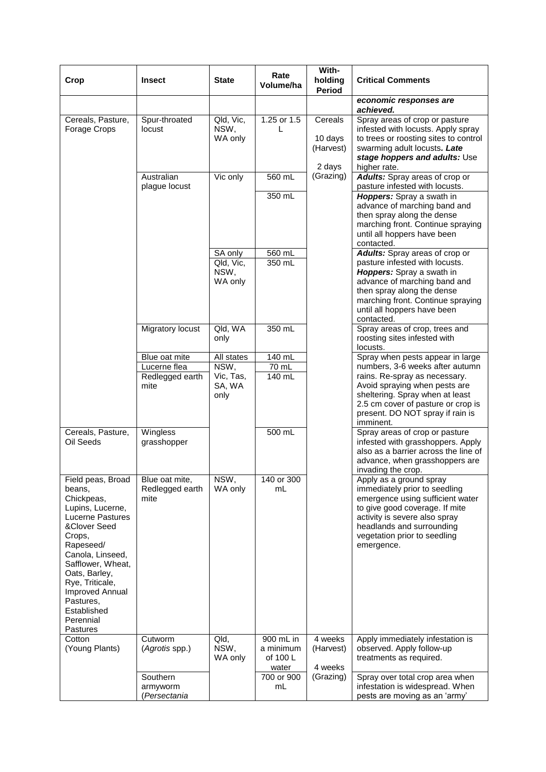| Crop                                                                                                                                                                                                                                                                          | <b>Insect</b>                             | <b>State</b>                        | Rate<br>Volume/ha                           | With-<br>holding<br>Period                | <b>Critical Comments</b>                                                                                                                                                                                                                   |
|-------------------------------------------------------------------------------------------------------------------------------------------------------------------------------------------------------------------------------------------------------------------------------|-------------------------------------------|-------------------------------------|---------------------------------------------|-------------------------------------------|--------------------------------------------------------------------------------------------------------------------------------------------------------------------------------------------------------------------------------------------|
|                                                                                                                                                                                                                                                                               |                                           |                                     |                                             |                                           | economic responses are<br>achieved.                                                                                                                                                                                                        |
| Cereals, Pasture,<br>Forage Crops                                                                                                                                                                                                                                             | Spur-throated<br>locust                   | Qld, Vic,<br>NSW,<br>WA only        | 1.25 or $1.5$<br>L                          | Cereals<br>10 days<br>(Harvest)<br>2 days | Spray areas of crop or pasture<br>infested with locusts. Apply spray<br>to trees or roosting sites to control<br>swarming adult locusts. Late<br>stage hoppers and adults: Use<br>higher rate.                                             |
|                                                                                                                                                                                                                                                                               | Australian<br>plague locust               | Vic only                            | 560 mL                                      | (Grazing)                                 | <b>Adults:</b> Spray areas of crop or<br>pasture infested with locusts.                                                                                                                                                                    |
|                                                                                                                                                                                                                                                                               |                                           |                                     | 350 mL                                      |                                           | Hoppers: Spray a swath in<br>advance of marching band and<br>then spray along the dense<br>marching front. Continue spraying<br>until all hoppers have been<br>contacted.                                                                  |
|                                                                                                                                                                                                                                                                               |                                           | SA only                             | 560 mL                                      |                                           | Adults: Spray areas of crop or                                                                                                                                                                                                             |
|                                                                                                                                                                                                                                                                               |                                           | Qld, Vic,<br>NSW,<br>WA only        | 350 mL                                      |                                           | pasture infested with locusts.<br>Hoppers: Spray a swath in<br>advance of marching band and<br>then spray along the dense<br>marching front. Continue spraying<br>until all hoppers have been<br>contacted.                                |
|                                                                                                                                                                                                                                                                               | Migratory locust                          | Qld, WA<br>only                     | 350 mL                                      |                                           | Spray areas of crop, trees and<br>roosting sites infested with<br>locusts.                                                                                                                                                                 |
|                                                                                                                                                                                                                                                                               | Blue oat mite                             | All states                          | 140 mL                                      |                                           | Spray when pests appear in large                                                                                                                                                                                                           |
|                                                                                                                                                                                                                                                                               | Lucerne flea<br>Redlegged earth<br>mite   | NSW,<br>Vic, Tas,<br>SA, WA<br>only | $70$ mL<br>140 mL                           |                                           | numbers, 3-6 weeks after autumn<br>rains. Re-spray as necessary.<br>Avoid spraying when pests are<br>sheltering. Spray when at least<br>2.5 cm cover of pasture or crop is<br>present. DO NOT spray if rain is<br>imminent.                |
| Cereals, Pasture,<br>Oil Seeds                                                                                                                                                                                                                                                | Wingless<br>grasshopper                   |                                     | 500 mL                                      |                                           | Spray areas of crop or pasture<br>infested with grasshoppers. Apply<br>also as a barrier across the line of<br>advance, when grasshoppers are<br>invading the crop.                                                                        |
| Field peas, Broad<br>beans.<br>Chickpeas,<br>Lupins, Lucerne,<br>Lucerne Pastures<br>&Clover Seed<br>Crops,<br>Rapeseed/<br>Canola, Linseed,<br>Safflower, Wheat,<br>Oats, Barley,<br>Rye, Triticale,<br>Improved Annual<br>Pastures,<br>Established<br>Perennial<br>Pastures | Blue oat mite,<br>Redlegged earth<br>mite | NSW,<br>WA only                     | 140 or 300<br>mL                            |                                           | Apply as a ground spray<br>immediately prior to seedling<br>emergence using sufficient water<br>to give good coverage. If mite<br>activity is severe also spray<br>headlands and surrounding<br>vegetation prior to seedling<br>emergence. |
| Cotton<br>(Young Plants)                                                                                                                                                                                                                                                      | Cutworm<br>(Agrotis spp.)                 | Qld.<br>NSW,<br>WA only             | 900 mL in<br>a minimum<br>of 100 L<br>water | 4 weeks<br>(Harvest)<br>4 weeks           | Apply immediately infestation is<br>observed. Apply follow-up<br>treatments as required.                                                                                                                                                   |
|                                                                                                                                                                                                                                                                               | Southern<br>armyworm<br>(Persectania      |                                     | 700 or 900<br>mL                            | (Grazing)                                 | Spray over total crop area when<br>infestation is widespread. When<br>pests are moving as an 'army'                                                                                                                                        |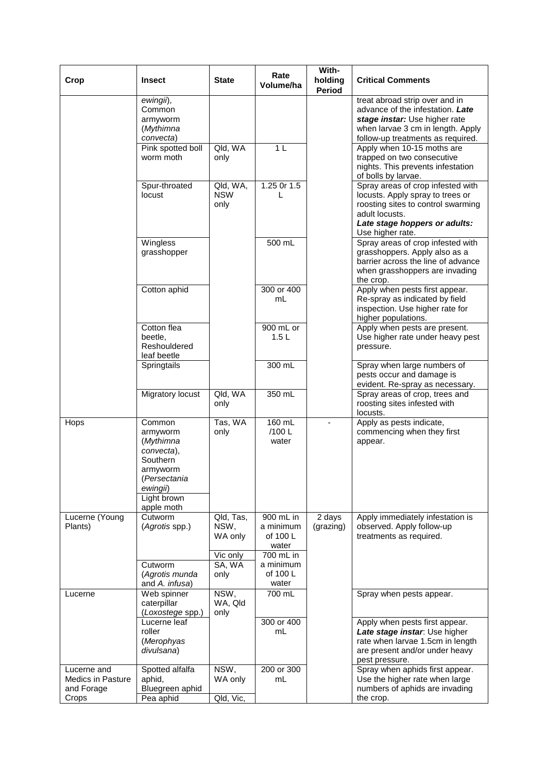| Crop                                    | <b>Insect</b>                   | <b>State</b>       | Rate<br>Volume/ha     | With-<br>holding | <b>Critical Comments</b>                                               |
|-----------------------------------------|---------------------------------|--------------------|-----------------------|------------------|------------------------------------------------------------------------|
|                                         |                                 |                    |                       | Period           |                                                                        |
|                                         | ewingii),<br>Common             |                    |                       |                  | treat abroad strip over and in<br>advance of the infestation. Late     |
|                                         | armyworm                        |                    |                       |                  | stage instar: Use higher rate                                          |
|                                         | (Mythimna<br>convecta)          |                    |                       |                  | when larvae 3 cm in length. Apply<br>follow-up treatments as required. |
|                                         | Pink spotted boll               | Qld, WA            | 1 <sub>L</sub>        |                  | Apply when 10-15 moths are                                             |
|                                         | worm moth                       | only               |                       |                  | trapped on two consecutive                                             |
|                                         |                                 |                    |                       |                  | nights. This prevents infestation<br>of bolls by larvae.               |
|                                         | Spur-throated                   | Qld, WA,           | 1.25 Or 1.5           |                  | Spray areas of crop infested with                                      |
|                                         | locust                          | <b>NSW</b><br>only | L                     |                  | locusts. Apply spray to trees or<br>roosting sites to control swarming |
|                                         |                                 |                    |                       |                  | adult locusts.                                                         |
|                                         |                                 |                    |                       |                  | Late stage hoppers or adults:                                          |
|                                         | Wingless                        |                    | 500 mL                |                  | Use higher rate.<br>Spray areas of crop infested with                  |
|                                         | grasshopper                     |                    |                       |                  | grasshoppers. Apply also as a                                          |
|                                         |                                 |                    |                       |                  | barrier across the line of advance                                     |
|                                         |                                 |                    |                       |                  | when grasshoppers are invading<br>the crop.                            |
|                                         | Cotton aphid                    |                    | 300 or 400            |                  | Apply when pests first appear.                                         |
|                                         |                                 |                    | mL                    |                  | Re-spray as indicated by field<br>inspection. Use higher rate for      |
|                                         |                                 |                    |                       |                  | higher populations.                                                    |
|                                         | Cotton flea                     |                    | 900 mL or             |                  | Apply when pests are present.                                          |
|                                         | beetle,<br>Reshouldered         |                    | 1.5L                  |                  | Use higher rate under heavy pest<br>pressure.                          |
|                                         | leaf beetle                     |                    |                       |                  |                                                                        |
|                                         | Springtails                     |                    | 300 mL                |                  | Spray when large numbers of<br>pests occur and damage is               |
|                                         |                                 |                    |                       |                  | evident. Re-spray as necessary.                                        |
|                                         | Migratory locust                | Qld, WA            | 350 mL                |                  | Spray areas of crop, trees and                                         |
|                                         |                                 | only               |                       |                  | roosting sites infested with<br>locusts.                               |
| Hops                                    | Common                          | Tas, WA            | 160 mL                |                  | Apply as pests indicate,                                               |
|                                         | armyworm<br>(Mythimna           | only               | /100 L<br>water       |                  | commencing when they first<br>appear.                                  |
|                                         | convecta),                      |                    |                       |                  |                                                                        |
|                                         | Southern                        |                    |                       |                  |                                                                        |
|                                         | armyworm<br>(Persectania        |                    |                       |                  |                                                                        |
|                                         | ewingii)                        |                    |                       |                  |                                                                        |
|                                         | Light brown<br>apple moth       |                    |                       |                  |                                                                        |
| Lucerne (Young                          | Cutworm                         | Qld, Tas,          | 900 mL in             | 2 days           | Apply immediately infestation is                                       |
| Plants)                                 | (Agrotis spp.)                  | NSW,               | a minimum             | (grazing)        | observed. Apply follow-up                                              |
|                                         |                                 | WA only            | of 100 L<br>water     |                  | treatments as required.                                                |
|                                         |                                 | Vic only           | 700 mL in             |                  |                                                                        |
|                                         | Cutworm<br>(Agrotis munda       | SA, WA<br>only     | a minimum<br>of 100 L |                  |                                                                        |
|                                         | and A. infusa)                  |                    | water                 |                  |                                                                        |
| Lucerne                                 | Web spinner                     | NSW,               | 700 mL                |                  | Spray when pests appear.                                               |
|                                         | caterpillar<br>(Loxostege spp.) | WA, Qld<br>only    |                       |                  |                                                                        |
|                                         | Lucerne leaf                    |                    | 300 or 400            |                  | Apply when pests first appear.                                         |
|                                         | roller                          |                    | mL                    |                  | Late stage instar: Use higher                                          |
|                                         | (Merophyas<br>divulsana)        |                    |                       |                  | rate when larvae 1.5cm in length<br>are present and/or under heavy     |
|                                         |                                 |                    |                       |                  | pest pressure.                                                         |
| Lucerne and<br><b>Medics in Pasture</b> | Spotted alfalfa<br>aphid,       | NSW,<br>WA only    | 200 or 300<br>mL      |                  | Spray when aphids first appear.<br>Use the higher rate when large      |
| and Forage                              | Bluegreen aphid                 |                    |                       |                  | numbers of aphids are invading                                         |
| Crops                                   | Pea aphid                       | Qld, Vic,          |                       |                  | the crop.                                                              |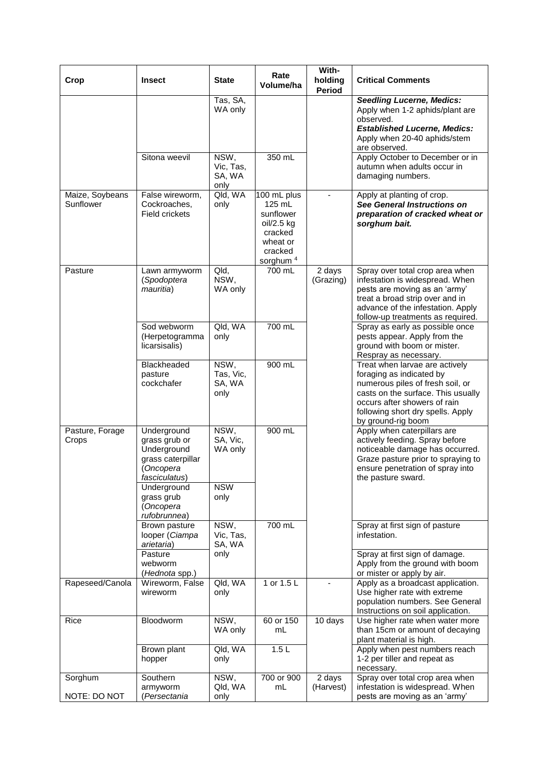| Crop                         | <b>Insect</b>                                                                                  | <b>State</b>                                     | Rate<br>Volume/ha                                                                                          | With-<br>holding<br><b>Period</b> | <b>Critical Comments</b>                                                                                                                                                                                                        |
|------------------------------|------------------------------------------------------------------------------------------------|--------------------------------------------------|------------------------------------------------------------------------------------------------------------|-----------------------------------|---------------------------------------------------------------------------------------------------------------------------------------------------------------------------------------------------------------------------------|
|                              |                                                                                                | Tas, SA,<br>WA only                              |                                                                                                            |                                   | <b>Seedling Lucerne, Medics:</b><br>Apply when 1-2 aphids/plant are<br>observed.<br><b>Established Lucerne, Medics:</b><br>Apply when 20-40 aphids/stem<br>are observed.                                                        |
|                              | Sitona weevil                                                                                  | NSW,<br>Vic, Tas,<br>SA, WA<br>only              | 350 mL                                                                                                     |                                   | Apply October to December or in<br>autumn when adults occur in<br>damaging numbers.                                                                                                                                             |
| Maize, Soybeans<br>Sunflower | False wireworm,<br>Cockroaches,<br><b>Field crickets</b>                                       | Qld, WA<br>only                                  | 100 mL plus<br>125 mL<br>sunflower<br>oil/2.5 kg<br>cracked<br>wheat or<br>cracked<br>sorghum <sup>4</sup> | $\blacksquare$                    | Apply at planting of crop.<br>See General Instructions on<br>preparation of cracked wheat or<br>sorghum bait.                                                                                                                   |
| Pasture                      | Lawn armyworm<br>(Spodoptera<br>mauritia)                                                      | Qld,<br>NSW,<br>WA only                          | 700 mL                                                                                                     | 2 days<br>(Grazing)               | Spray over total crop area when<br>infestation is widespread. When<br>pests are moving as an 'army'<br>treat a broad strip over and in<br>advance of the infestation. Apply<br>follow-up treatments as required.                |
|                              | Sod webworm<br>(Herpetogramma<br>licarsisalis)                                                 | Qld, WA<br>only                                  | 700 mL                                                                                                     |                                   | Spray as early as possible once<br>pests appear. Apply from the<br>ground with boom or mister.<br>Respray as necessary.                                                                                                         |
|                              | Blackheaded<br>pasture<br>cockchafer                                                           | NSW,<br>Tas, Vic,<br>SA, WA<br>only              | 900 mL                                                                                                     |                                   | Treat when larvae are actively<br>foraging as indicated by<br>numerous piles of fresh soil, or<br>casts on the surface. This usually<br>occurs after showers of rain<br>following short dry spells. Apply<br>by ground-rig boom |
| Pasture, Forage<br>Crops     | Underground<br>grass grub or<br>Underground<br>grass caterpillar<br>(Oncopera<br>fasciculatus) | $\overline{\text{NSW}}$ ,<br>SA, Vic,<br>WA only | 900 mL                                                                                                     |                                   | Apply when caterpillars are<br>actively feeding. Spray before<br>noticeable damage has occurred.<br>Graze pasture prior to spraying to<br>ensure penetration of spray into<br>the pasture sward.                                |
|                              | Underground<br>grass grub<br>(Oncopera<br>rufobrunnea)                                         | <b>NSW</b><br>only                               |                                                                                                            |                                   |                                                                                                                                                                                                                                 |
|                              | Brown pasture<br>looper (Ciampa<br>arietaria)                                                  | NSW,<br>Vic, Tas,<br>SA, WA                      | 700 mL                                                                                                     |                                   | Spray at first sign of pasture<br>infestation.                                                                                                                                                                                  |
|                              | Pasture<br>webworm<br>(Hednota spp.)                                                           | only                                             |                                                                                                            |                                   | Spray at first sign of damage.<br>Apply from the ground with boom<br>or mister or apply by air.                                                                                                                                 |
| Rapeseed/Canola              | Wireworm, False<br>wireworm                                                                    | Qld, WA<br>only                                  | 1 or 1.5 L                                                                                                 |                                   | Apply as a broadcast application.<br>Use higher rate with extreme<br>population numbers. See General<br>Instructions on soil application.                                                                                       |
| Rice                         | Bloodworm                                                                                      | NSW,<br>WA only                                  | 60 or 150<br>mL                                                                                            | 10 days                           | Use higher rate when water more<br>than 15cm or amount of decaying<br>plant material is high.                                                                                                                                   |
|                              | Brown plant<br>hopper                                                                          | Qld, WA<br>only                                  | 1.5L                                                                                                       |                                   | Apply when pest numbers reach<br>1-2 per tiller and repeat as<br>necessary.                                                                                                                                                     |
| Sorghum<br>NOTE: DO NOT      | Southern<br>armyworm<br>(Persectania                                                           | NSW,<br>Qld, WA<br>only                          | 700 or 900<br>mL                                                                                           | $\overline{2}$ days<br>(Harvest)  | Spray over total crop area when<br>infestation is widespread. When<br>pests are moving as an 'army'                                                                                                                             |
|                              |                                                                                                |                                                  |                                                                                                            |                                   |                                                                                                                                                                                                                                 |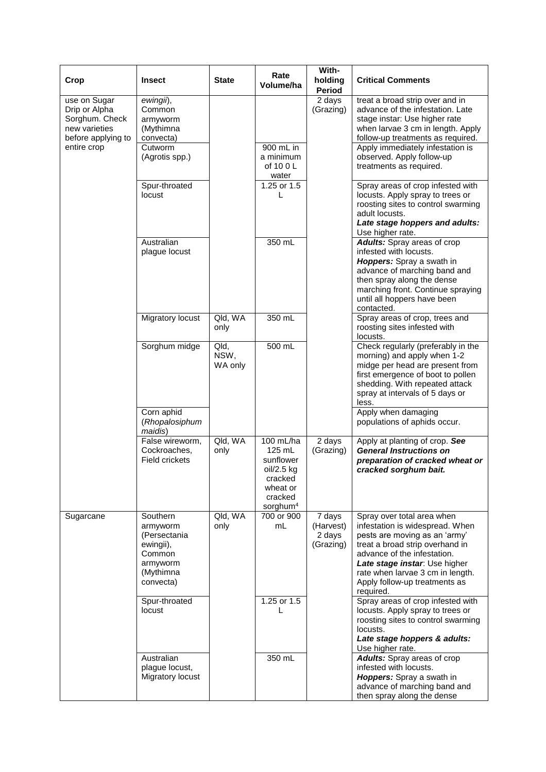| Crop                                                                                   | <b>Insect</b>                                                                                     | <b>State</b>            | Rate<br>Volume/ha                                                                                        | With-<br>holding<br>Period                              | <b>Critical Comments</b>                                                                                                                                                                                                                                                            |
|----------------------------------------------------------------------------------------|---------------------------------------------------------------------------------------------------|-------------------------|----------------------------------------------------------------------------------------------------------|---------------------------------------------------------|-------------------------------------------------------------------------------------------------------------------------------------------------------------------------------------------------------------------------------------------------------------------------------------|
| use on Sugar<br>Drip or Alpha<br>Sorghum. Check<br>new varieties<br>before applying to | $\overline{ewing}$ ii),<br>Common<br>armyworm<br>(Mythimna<br>convecta)                           |                         |                                                                                                          | 2 days<br>(Grazing)                                     | treat a broad strip over and in<br>advance of the infestation. Late<br>stage instar: Use higher rate<br>when larvae 3 cm in length. Apply<br>follow-up treatments as required.                                                                                                      |
| entire crop                                                                            | Cutworm<br>(Agrotis spp.)                                                                         |                         | 900 mL in<br>a minimum<br>of 10 0 L<br>water                                                             |                                                         | Apply immediately infestation is<br>observed. Apply follow-up<br>treatments as required.                                                                                                                                                                                            |
|                                                                                        | Spur-throated<br>locust                                                                           |                         | 1.25 or 1.5<br>L                                                                                         |                                                         | Spray areas of crop infested with<br>locusts. Apply spray to trees or<br>roosting sites to control swarming<br>adult locusts.<br>Late stage hoppers and adults:<br>Use higher rate.                                                                                                 |
|                                                                                        | Australian<br>plague locust                                                                       |                         | 350 mL                                                                                                   |                                                         | <b>Adults:</b> Spray areas of crop<br>infested with locusts.<br>Hoppers: Spray a swath in<br>advance of marching band and<br>then spray along the dense<br>marching front. Continue spraying<br>until all hoppers have been<br>contacted.                                           |
|                                                                                        | Migratory locust                                                                                  | Qld, WA<br>only         | 350 mL                                                                                                   |                                                         | Spray areas of crop, trees and<br>roosting sites infested with<br>locusts.                                                                                                                                                                                                          |
|                                                                                        | Sorghum midge                                                                                     | Qld,<br>NSW,<br>WA only | 500 mL                                                                                                   |                                                         | Check regularly (preferably in the<br>morning) and apply when 1-2<br>midge per head are present from<br>first emergence of boot to pollen<br>shedding. With repeated attack<br>spray at intervals of 5 days or<br>less.                                                             |
|                                                                                        | Corn aphid<br>(Rhopalosiphum<br>maidis)                                                           |                         |                                                                                                          |                                                         | Apply when damaging<br>populations of aphids occur.                                                                                                                                                                                                                                 |
|                                                                                        | False wireworm,<br>Cockroaches,<br>Field crickets                                                 | Qld, WA<br>only         | 100 mL/ha<br>125 mL<br>sunflower<br>oil/2.5 kg<br>cracked<br>wheat or<br>cracked<br>sorghum <sup>4</sup> | 2 days<br>(Grazing)                                     | Apply at planting of crop. See<br><b>General Instructions on</b><br>preparation of cracked wheat or<br>cracked sorghum bait.                                                                                                                                                        |
| Sugarcane                                                                              | Southern<br>armyworm<br>(Persectania<br>ewingii),<br>Common<br>armyworm<br>(Mythimna<br>convecta) | Qld, WA<br>only         | 700 or 900<br>mL                                                                                         | $\overline{7}$ days<br>(Harvest)<br>2 days<br>(Grazing) | Spray over total area when<br>infestation is widespread. When<br>pests are moving as an 'army'<br>treat a broad strip overhand in<br>advance of the infestation.<br>Late stage instar: Use higher<br>rate when larvae 3 cm in length.<br>Apply follow-up treatments as<br>required. |
|                                                                                        | Spur-throated<br>locust                                                                           |                         | 1.25 or 1.5<br>L                                                                                         |                                                         | Spray areas of crop infested with<br>locusts. Apply spray to trees or<br>roosting sites to control swarming<br>locusts.<br>Late stage hoppers & adults:<br>Use higher rate.                                                                                                         |
|                                                                                        | Australian<br>plague locust,<br>Migratory locust                                                  |                         | 350 mL                                                                                                   |                                                         | Adults: Spray areas of crop<br>infested with locusts.<br><b>Hoppers:</b> Spray a swath in<br>advance of marching band and<br>then spray along the dense                                                                                                                             |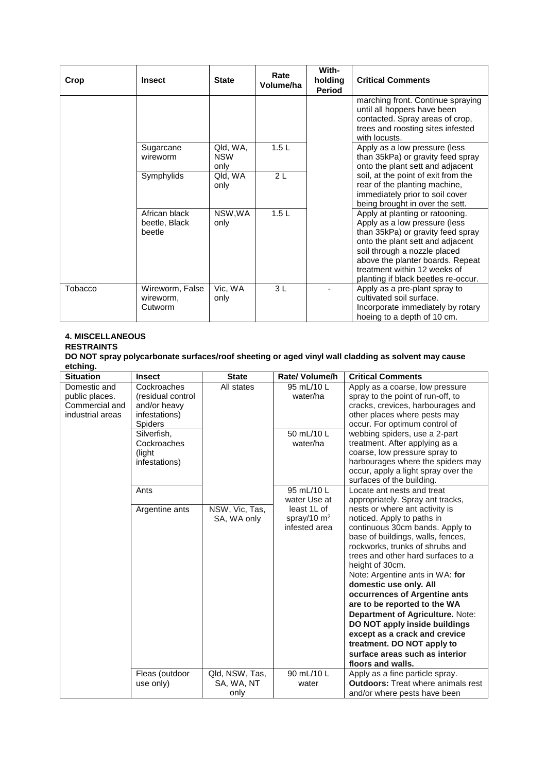| Crop    | <b>Insect</b>                            | <b>State</b>                   | Rate<br>Volume/ha | With-<br>holding<br><b>Period</b> | <b>Critical Comments</b>                                                                                                                                                                                                                                                             |
|---------|------------------------------------------|--------------------------------|-------------------|-----------------------------------|--------------------------------------------------------------------------------------------------------------------------------------------------------------------------------------------------------------------------------------------------------------------------------------|
|         |                                          |                                |                   |                                   | marching front. Continue spraying<br>until all hoppers have been<br>contacted. Spray areas of crop,<br>trees and roosting sites infested<br>with locusts.                                                                                                                            |
|         | Sugarcane<br>wireworm                    | Qld, WA,<br><b>NSW</b><br>only | 1.5L              |                                   | Apply as a low pressure (less<br>than 35kPa) or gravity feed spray<br>onto the plant sett and adjacent                                                                                                                                                                               |
|         | Symphylids                               | Qld, WA<br>only                | 2L                |                                   | soil, at the point of exit from the<br>rear of the planting machine,<br>immediately prior to soil cover<br>being brought in over the sett.                                                                                                                                           |
|         | African black<br>beetle, Black<br>beetle | NSW, WA<br>only                | 1.5L              |                                   | Apply at planting or ratooning.<br>Apply as a low pressure (less<br>than 35kPa) or gravity feed spray<br>onto the plant sett and adjacent<br>soil through a nozzle placed<br>above the planter boards. Repeat<br>treatment within 12 weeks of<br>planting if black beetles re-occur. |
| Tobacco | Wireworm, False<br>wireworm.<br>Cutworm  | Vic, WA<br>only                | 3L                |                                   | Apply as a pre-plant spray to<br>cultivated soil surface.<br>Incorporate immediately by rotary<br>hoeing to a depth of 10 cm.                                                                                                                                                        |

# **4. MISCELLANEOUS**

# **RESTRAINTS**

**DO NOT spray polycarbonate surfaces/roof sheeting or aged vinyl wall cladding as solvent may cause etching.**

| <b>Situation</b>                                                     | <b>Insect</b>                                                                                                                                 | <b>State</b>                         | <b>Rate/ Volume/h</b>                                                                 | <b>Critical Comments</b>                                                                                                                                                                                                                                                                                                                                                                                                                                                                                                                                                                                                    |
|----------------------------------------------------------------------|-----------------------------------------------------------------------------------------------------------------------------------------------|--------------------------------------|---------------------------------------------------------------------------------------|-----------------------------------------------------------------------------------------------------------------------------------------------------------------------------------------------------------------------------------------------------------------------------------------------------------------------------------------------------------------------------------------------------------------------------------------------------------------------------------------------------------------------------------------------------------------------------------------------------------------------------|
| Domestic and<br>public places.<br>Commercial and<br>industrial areas | Cockroaches<br>(residual control<br>and/or heavy<br>infestations)<br><b>Spiders</b><br>Silverfish,<br>Cockroaches<br>(light)<br>infestations) | All states                           | 95 mL/10 L<br>water/ha<br>50 mL/10 L<br>water/ha                                      | Apply as a coarse, low pressure<br>spray to the point of run-off, to<br>cracks, crevices, harbourages and<br>other places where pests may<br>occur. For optimum control of<br>webbing spiders, use a 2-part<br>treatment. After applying as a<br>coarse, low pressure spray to<br>harbourages where the spiders may<br>occur, apply a light spray over the<br>surfaces of the building.                                                                                                                                                                                                                                     |
|                                                                      | Ants<br>Argentine ants                                                                                                                        | NSW, Vic, Tas,<br>SA, WA only        | 95 mL/10 L<br>water Use at<br>least 1L of<br>spray/10 $\mathrm{m}^2$<br>infested area | Locate ant nests and treat<br>appropriately. Spray ant tracks,<br>nests or where ant activity is<br>noticed. Apply to paths in<br>continuous 30cm bands. Apply to<br>base of buildings, walls, fences,<br>rockworks, trunks of shrubs and<br>trees and other hard surfaces to a<br>height of 30cm.<br>Note: Argentine ants in WA: for<br>domestic use only. All<br>occurrences of Argentine ants<br>are to be reported to the WA<br>Department of Agriculture. Note:<br>DO NOT apply inside buildings<br>except as a crack and crevice<br>treatment. DO NOT apply to<br>surface areas such as interior<br>floors and walls. |
|                                                                      | Fleas (outdoor<br>use only)                                                                                                                   | Qld, NSW, Tas,<br>SA, WA, NT<br>only | 90 mL/10 L<br>water                                                                   | Apply as a fine particle spray.<br><b>Outdoors:</b> Treat where animals rest<br>and/or where pests have been                                                                                                                                                                                                                                                                                                                                                                                                                                                                                                                |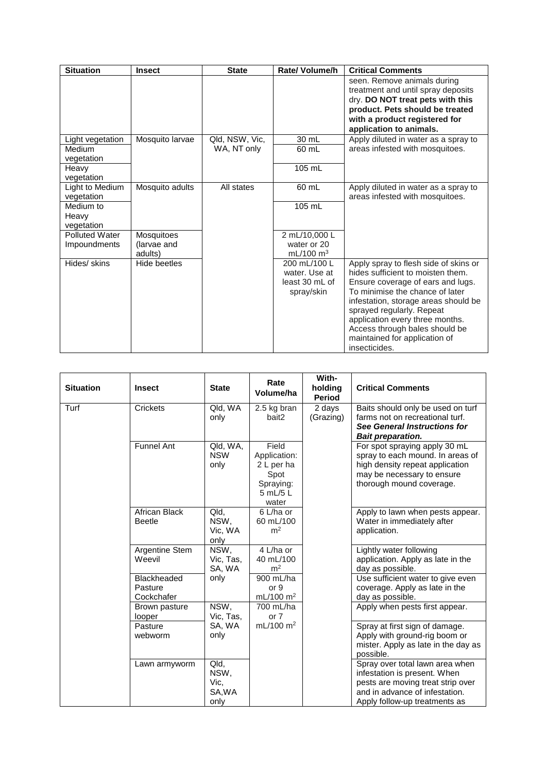| <b>Situation</b>                      | <b>Insect</b>                        | <b>State</b>   | <b>Rate/ Volume/h</b>                                         | <b>Critical Comments</b>                                                                                                                                                                                                                                                                                                                       |
|---------------------------------------|--------------------------------------|----------------|---------------------------------------------------------------|------------------------------------------------------------------------------------------------------------------------------------------------------------------------------------------------------------------------------------------------------------------------------------------------------------------------------------------------|
|                                       |                                      |                |                                                               | seen. Remove animals during<br>treatment and until spray deposits<br>dry. DO NOT treat pets with this<br>product. Pets should be treated<br>with a product registered for<br>application to animals.                                                                                                                                           |
| Light vegetation                      | Mosquito larvae                      | Qld, NSW, Vic, | 30 mL                                                         | Apply diluted in water as a spray to                                                                                                                                                                                                                                                                                                           |
| <b>Medium</b><br>vegetation           |                                      | WA, NT only    | 60 mL                                                         | areas infested with mosquitoes.                                                                                                                                                                                                                                                                                                                |
| Heavy<br>vegetation                   |                                      |                | 105 mL                                                        |                                                                                                                                                                                                                                                                                                                                                |
| Light to Medium<br>vegetation         | Mosquito adults                      | All states     | 60 mL                                                         | Apply diluted in water as a spray to<br>areas infested with mosquitoes.                                                                                                                                                                                                                                                                        |
| Medium to<br>Heavy<br>vegetation      |                                      |                | 105 mL                                                        |                                                                                                                                                                                                                                                                                                                                                |
| <b>Polluted Water</b><br>Impoundments | Mosquitoes<br>(larvae and<br>adults) |                | 2 mL/10,000 L<br>water or 20<br>mL/100 $m3$                   |                                                                                                                                                                                                                                                                                                                                                |
| Hides/ skins                          | Hide beetles                         |                | 200 mL/100 L<br>water. Use at<br>least 30 mL of<br>spray/skin | Apply spray to flesh side of skins or<br>hides sufficient to moisten them.<br>Ensure coverage of ears and lugs.<br>To minimise the chance of later<br>infestation, storage areas should be<br>sprayed regularly. Repeat<br>application every three months.<br>Access through bales should be<br>maintained for application of<br>insecticides. |

| <b>Situation</b> | <b>Insect</b>                        | <b>State</b>                           | Rate<br>Volume/ha                                                             | With-<br>holding<br><b>Period</b> | <b>Critical Comments</b>                                                                                                                                                |
|------------------|--------------------------------------|----------------------------------------|-------------------------------------------------------------------------------|-----------------------------------|-------------------------------------------------------------------------------------------------------------------------------------------------------------------------|
| Turf             | Crickets                             | Qld, WA<br>only                        | 2.5 kg bran<br>bait2                                                          | 2 days<br>(Grazing)               | Baits should only be used on turf<br>farms not on recreational turf.<br>See General Instructions for<br><b>Bait preparation.</b>                                        |
|                  | <b>Funnel Ant</b>                    | Qld, WA,<br><b>NSW</b><br>only         | Field<br>Application:<br>2 L per ha<br>Spot<br>Spraying:<br>5 mL/5 L<br>water |                                   | For spot spraying apply 30 mL<br>spray to each mound. In areas of<br>high density repeat application<br>may be necessary to ensure<br>thorough mound coverage.          |
|                  | African Black<br><b>Beetle</b>       | Qld,<br>NSW,<br>Vic, WA<br>only        | 6 L/ha or<br>60 mL/100<br>m <sup>2</sup>                                      |                                   | Apply to lawn when pests appear.<br>Water in immediately after<br>application.                                                                                          |
|                  | <b>Argentine Stem</b><br>Weevil      | NSW,<br>Vic, Tas,<br>SA, WA            | 4 L/ha or<br>40 mL/100<br>m <sup>2</sup>                                      |                                   | Lightly water following<br>application. Apply as late in the<br>day as possible.                                                                                        |
|                  | Blackheaded<br>Pasture<br>Cockchafer | only                                   | 900 mL/ha<br>or 9<br>mL/100 m <sup>2</sup>                                    |                                   | Use sufficient water to give even<br>coverage. Apply as late in the<br>day as possible.                                                                                 |
|                  | Brown pasture<br>looper              | NSW,<br>Vic, Tas,                      | 700 mL/ha<br>or $7$                                                           |                                   | Apply when pests first appear.                                                                                                                                          |
|                  | Pasture<br>webworm                   | SA, WA<br>only                         | mL/100 m <sup>2</sup>                                                         |                                   | Spray at first sign of damage.<br>Apply with ground-rig boom or<br>mister. Apply as late in the day as<br>possible.                                                     |
|                  | Lawn armyworm                        | Qld,<br>NSW,<br>Vic.<br>SA, WA<br>only |                                                                               |                                   | Spray over total lawn area when<br>infestation is present. When<br>pests are moving treat strip over<br>and in advance of infestation.<br>Apply follow-up treatments as |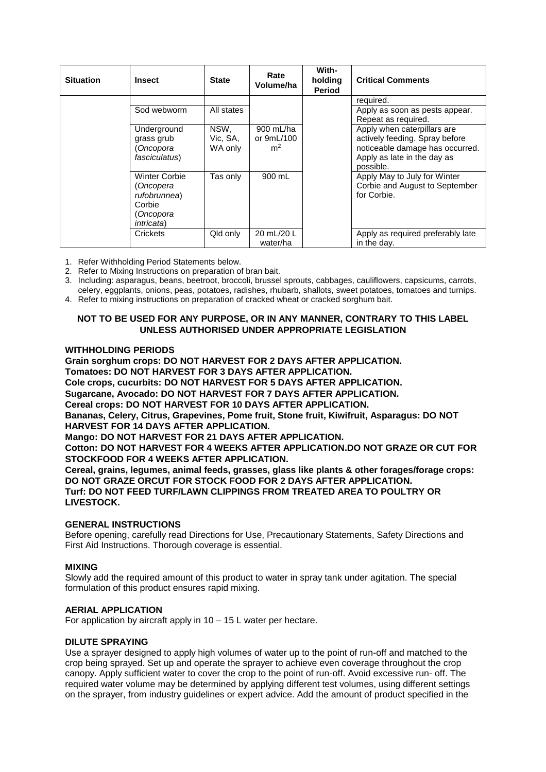| <b>Situation</b> | <b>Insect</b>                                                                                 | <b>State</b>                | Rate<br>Volume/ha                         | With-<br>holding<br><b>Period</b> | <b>Critical Comments</b>                                                                                                                     |
|------------------|-----------------------------------------------------------------------------------------------|-----------------------------|-------------------------------------------|-----------------------------------|----------------------------------------------------------------------------------------------------------------------------------------------|
|                  |                                                                                               |                             |                                           |                                   | required.                                                                                                                                    |
|                  | Sod webworm                                                                                   | All states                  |                                           |                                   | Apply as soon as pests appear.<br>Repeat as required.                                                                                        |
|                  | Underground<br>grass grub<br>Oncopora<br>fasciculatus)                                        | NSW,<br>Vic. SA.<br>WA only | 900 mL/ha<br>or 9mL/100<br>m <sup>2</sup> |                                   | Apply when caterpillars are<br>actively feeding. Spray before<br>noticeable damage has occurred.<br>Apply as late in the day as<br>possible. |
|                  | <b>Winter Corbie</b><br>(Oncopera<br>rufobrunnea)<br>Corbie<br>Oncopora<br><i>intricata</i> ) | Tas only                    | 900 mL                                    |                                   | Apply May to July for Winter<br>Corbie and August to September<br>for Corbie.                                                                |
|                  | Crickets                                                                                      | Qld only                    | 20 mL/20 L<br>water/ha                    |                                   | Apply as required preferably late<br>in the day.                                                                                             |

1. Refer Withholding Period Statements below.

- 2. Refer to Mixing Instructions on preparation of bran bait.
- 3. Including: asparagus, beans, beetroot, broccoli, brussel sprouts, cabbages, cauliflowers, capsicums, carrots,
- celery, eggplants, onions, peas, potatoes, radishes, rhubarb, shallots, sweet potatoes, tomatoes and turnips. 4. Refer to mixing instructions on preparation of cracked wheat or cracked sorghum bait.

# **NOT TO BE USED FOR ANY PURPOSE, OR IN ANY MANNER, CONTRARY TO THIS LABEL UNLESS AUTHORISED UNDER APPROPRIATE LEGISLATION**

# **WITHHOLDING PERIODS**

**Grain sorghum crops: DO NOT HARVEST FOR 2 DAYS AFTER APPLICATION.**

**Tomatoes: DO NOT HARVEST FOR 3 DAYS AFTER APPLICATION.**

**Cole crops, cucurbits: DO NOT HARVEST FOR 5 DAYS AFTER APPLICATION.**

**Sugarcane, Avocado: DO NOT HARVEST FOR 7 DAYS AFTER APPLICATION.**

**Cereal crops: DO NOT HARVEST FOR 10 DAYS AFTER APPLICATION.**

**Bananas, Celery, Citrus, Grapevines, Pome fruit, Stone fruit, Kiwifruit, Asparagus: DO NOT HARVEST FOR 14 DAYS AFTER APPLICATION.**

**Mango: DO NOT HARVEST FOR 21 DAYS AFTER APPLICATION.**

**Cotton: DO NOT HARVEST FOR 4 WEEKS AFTER APPLICATION.DO NOT GRAZE OR CUT FOR STOCKFOOD FOR 4 WEEKS AFTER APPLICATION.**

**Cereal, grains, legumes, animal feeds, grasses, glass like plants & other forages/forage crops: DO NOT GRAZE ORCUT FOR STOCK FOOD FOR 2 DAYS AFTER APPLICATION. Turf: DO NOT FEED TURF/LAWN CLIPPINGS FROM TREATED AREA TO POULTRY OR LIVESTOCK.**

# **GENERAL INSTRUCTIONS**

Before opening, carefully read Directions for Use, Precautionary Statements, Safety Directions and First Aid Instructions. Thorough coverage is essential.

# **MIXING**

Slowly add the required amount of this product to water in spray tank under agitation. The special formulation of this product ensures rapid mixing.

# **AERIAL APPLICATION**

For application by aircraft apply in 10 – 15 L water per hectare.

# **DILUTE SPRAYING**

Use a sprayer designed to apply high volumes of water up to the point of run-off and matched to the crop being sprayed. Set up and operate the sprayer to achieve even coverage throughout the crop canopy. Apply sufficient water to cover the crop to the point of run-off. Avoid excessive run- off. The required water volume may be determined by applying different test volumes, using different settings on the sprayer, from industry guidelines or expert advice. Add the amount of product specified in the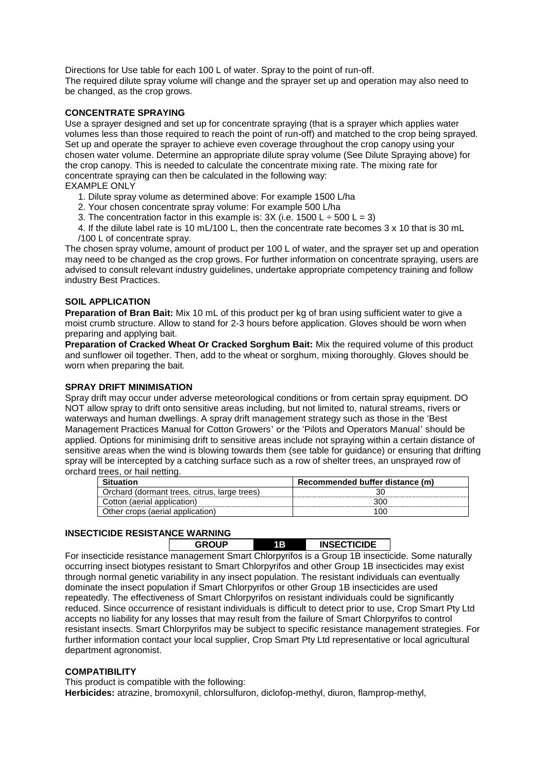Directions for Use table for each 100 L of water. Spray to the point of run-off. The required dilute spray volume will change and the sprayer set up and operation may also need to be changed, as the crop grows.

# **CONCENTRATE SPRAYING**

Use a sprayer designed and set up for concentrate spraying (that is a sprayer which applies water volumes less than those required to reach the point of run-off) and matched to the crop being sprayed. Set up and operate the sprayer to achieve even coverage throughout the crop canopy using your chosen water volume. Determine an appropriate dilute spray volume (See Dilute Spraying above) for the crop canopy. This is needed to calculate the concentrate mixing rate. The mixing rate for concentrate spraying can then be calculated in the following way: EXAMPLE ONLY

- 1. Dilute spray volume as determined above: For example 1500 L/ha
- 2. Your chosen concentrate spray volume: For example 500 L/ha
- 3. The concentration factor in this example is:  $3X$  (i.e. 1500 L  $\div$  500 L = 3)

4. If the dilute label rate is 10 mL/100 L, then the concentrate rate becomes 3 x 10 that is 30 mL /100 L of concentrate spray.

The chosen spray volume, amount of product per 100 L of water, and the sprayer set up and operation may need to be changed as the crop grows. For further information on concentrate spraying, users are advised to consult relevant industry guidelines, undertake appropriate competency training and follow industry Best Practices.

# **SOIL APPLICATION**

**Preparation of Bran Bait:** Mix 10 mL of this product per kg of bran using sufficient water to give a moist crumb structure. Allow to stand for 2-3 hours before application. Gloves should be worn when preparing and applying bait.

**Preparation of Cracked Wheat Or Cracked Sorghum Bait:** Mix the required volume of this product and sunflower oil together. Then, add to the wheat or sorghum, mixing thoroughly. Gloves should be worn when preparing the bait.

# **SPRAY DRIFT MINIMISATION**

Spray drift may occur under adverse meteorological conditions or from certain spray equipment. DO NOT allow spray to drift onto sensitive areas including, but not limited to, natural streams, rivers or waterways and human dwellings. A spray drift management strategy such as those in the 'Best Management Practices Manual for Cotton Growers' or the 'Pilots and Operators Manual' should be applied. Options for minimising drift to sensitive areas include not spraying within a certain distance of sensitive areas when the wind is blowing towards them (see table for guidance) or ensuring that drifting spray will be intercepted by a catching surface such as a row of shelter trees, an unsprayed row of orchard trees, or hail netting.

|                                              | Recommended buffer distance (m) |  |  |
|----------------------------------------------|---------------------------------|--|--|
| Orchard (dormant trees, citrus, large trees) |                                 |  |  |
| Cotton (aerial application)                  |                                 |  |  |
| Other crops (aerial application)             |                                 |  |  |

# **INSECTICIDE RESISTANCE WARNING**

**GROUP 1B INSECTICIDE**

For insecticide resistance management Smart Chlorpyrifos is a Group 1B insecticide. Some naturally occurring insect biotypes resistant to Smart Chlorpyrifos and other Group 1B insecticides may exist through normal genetic variability in any insect population. The resistant individuals can eventually dominate the insect population if Smart Chlorpyrifos or other Group 1B insecticides are used repeatedly. The effectiveness of Smart Chlorpyrifos on resistant individuals could be significantly reduced. Since occurrence of resistant individuals is difficult to detect prior to use, Crop Smart Pty Ltd accepts no liability for any losses that may result from the failure of Smart Chlorpyrifos to control resistant insects. Smart Chlorpyrifos may be subject to specific resistance management strategies. For further information contact your local supplier, Crop Smart Pty Ltd representative or local agricultural department agronomist.

# **COMPATIBILITY**

This product is compatible with the following: **Herbicides:** atrazine, bromoxynil, chlorsulfuron, diclofop-methyl, diuron, flamprop-methyl,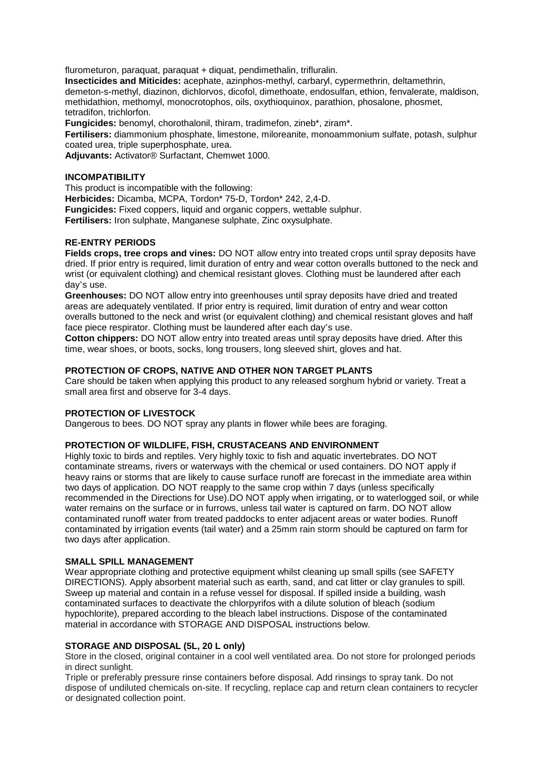flurometuron, paraquat, paraquat + diquat, pendimethalin, trifluralin.

**Insecticides and Miticides:** acephate, azinphos-methyl, carbaryl, cypermethrin, deltamethrin, demeton-s-methyl, diazinon, dichlorvos, dicofol, dimethoate, endosulfan, ethion, fenvalerate, maldison, methidathion, methomyl, monocrotophos, oils, oxythioquinox, parathion, phosalone, phosmet, tetradifon, trichlorfon.

**Fungicides:** benomyl, chorothalonil, thiram, tradimefon, zineb\*, ziram\*.

**Fertilisers:** diammonium phosphate, limestone, miloreanite, monoammonium sulfate, potash, sulphur coated urea, triple superphosphate, urea.

**Adjuvants:** Activator® Surfactant, Chemwet 1000.

#### **INCOMPATIBILITY**

This product is incompatible with the following: **Herbicides:** Dicamba, MCPA, Tordon\* 75-D, Tordon\* 242, 2,4-D. **Fungicides:** Fixed coppers, liquid and organic coppers, wettable sulphur. **Fertilisers:** Iron sulphate, Manganese sulphate, Zinc oxysulphate.

# **RE-ENTRY PERIODS**

**Fields crops, tree crops and vines:** DO NOT allow entry into treated crops until spray deposits have dried. If prior entry is required, limit duration of entry and wear cotton overalls buttoned to the neck and wrist (or equivalent clothing) and chemical resistant gloves. Clothing must be laundered after each day's use.

**Greenhouses:** DO NOT allow entry into greenhouses until spray deposits have dried and treated areas are adequately ventilated. If prior entry is required, limit duration of entry and wear cotton overalls buttoned to the neck and wrist (or equivalent clothing) and chemical resistant gloves and half face piece respirator. Clothing must be laundered after each day's use.

**Cotton chippers:** DO NOT allow entry into treated areas until spray deposits have dried. After this time, wear shoes, or boots, socks, long trousers, long sleeved shirt, gloves and hat.

#### **PROTECTION OF CROPS, NATIVE AND OTHER NON TARGET PLANTS**

Care should be taken when applying this product to any released sorghum hybrid or variety. Treat a small area first and observe for 3-4 days.

#### **PROTECTION OF LIVESTOCK**

Dangerous to bees. DO NOT spray any plants in flower while bees are foraging.

# **PROTECTION OF WILDLIFE, FISH, CRUSTACEANS AND ENVIRONMENT**

Highly toxic to birds and reptiles. Very highly toxic to fish and aquatic invertebrates. DO NOT contaminate streams, rivers or waterways with the chemical or used containers. DO NOT apply if heavy rains or storms that are likely to cause surface runoff are forecast in the immediate area within two days of application. DO NOT reapply to the same crop within 7 days (unless specifically recommended in the Directions for Use).DO NOT apply when irrigating, or to waterlogged soil, or while water remains on the surface or in furrows, unless tail water is captured on farm. DO NOT allow contaminated runoff water from treated paddocks to enter adjacent areas or water bodies. Runoff contaminated by irrigation events (tail water) and a 25mm rain storm should be captured on farm for two days after application.

#### **SMALL SPILL MANAGEMENT**

Wear appropriate clothing and protective equipment whilst cleaning up small spills (see SAFETY DIRECTIONS). Apply absorbent material such as earth, sand, and cat litter or clay granules to spill. Sweep up material and contain in a refuse vessel for disposal. If spilled inside a building, wash contaminated surfaces to deactivate the chlorpyrifos with a dilute solution of bleach (sodium hypochlorite), prepared according to the bleach label instructions. Dispose of the contaminated material in accordance with STORAGE AND DISPOSAL instructions below.

#### **STORAGE AND DISPOSAL (5L, 20 L only)**

Store in the closed, original container in a cool well ventilated area. Do not store for prolonged periods in direct sunlight.

Triple or preferably pressure rinse containers before disposal. Add rinsings to spray tank. Do not dispose of undiluted chemicals on-site. If recycling, replace cap and return clean containers to recycler or designated collection point.